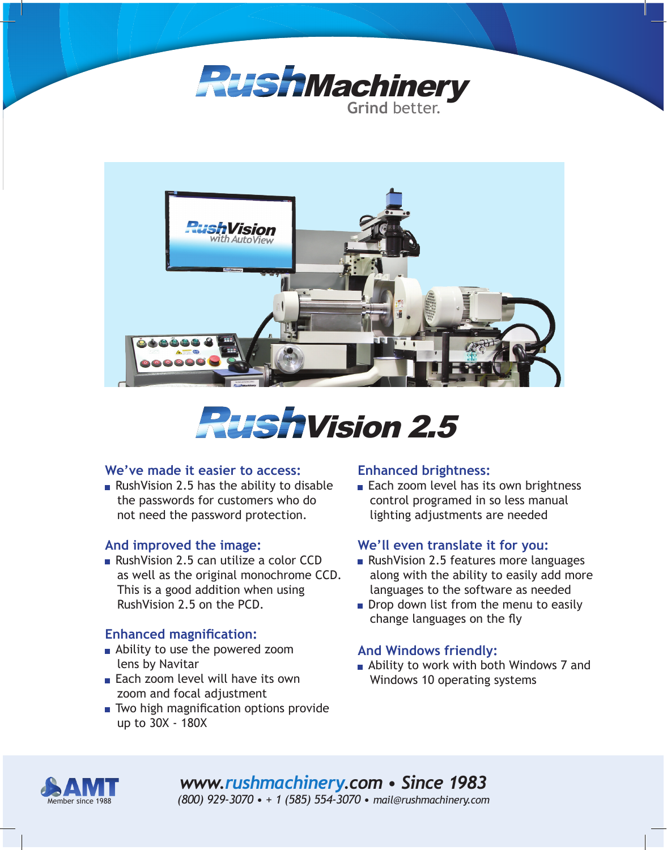





#### **We've made it easier to access:**

Rush Vision 2.5 has the ability to disable the passwords for customers who do not need the password protection.

## **And improved the image:**

RushVision 2.5 can utilize a color CCD as well as the original monochrome CCD. This is a good addition when using RushVision 2.5 on the PCD.

## **Enhanced magnification:**

- **Ability to use the powered zoom** lens by Navitar
- Each zoom level will have its own zoom and focal adjustment
- Two high magnification options provide up to 30X - 180X

#### **Enhanced brightness:**

Each zoom level has its own brightness control programed in so less manual lighting adjustments are needed

## **We'll even translate it for you:**

- RushVision 2.5 features more languages along with the ability to easily add more languages to the software as needed
- Drop down list from the menu to easily change languages on the fly

## **And Windows friendly:**

**Ability to work with both Windows 7 and** Windows 10 operating systems



*www.rushmachinery.com • Since 1983 (800) 929-3070 • + 1 (585) 554-3070 • mail@rushmachinery.com*